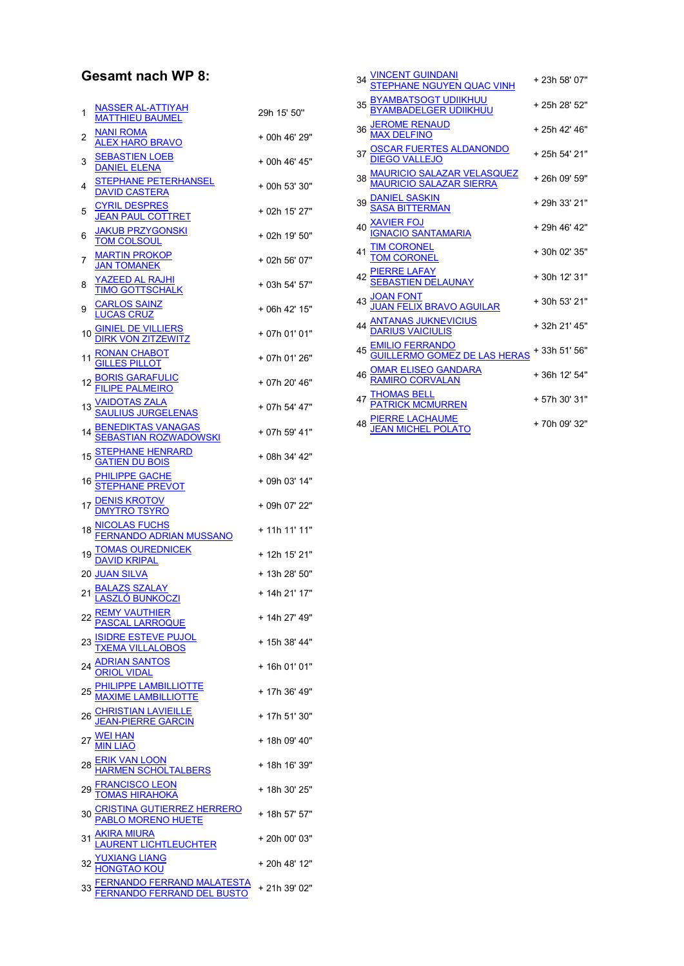## Gesamt nach WP 8:

| 1  | <b>NASSER AL-ATTIYAH</b><br><b>MATTHIEU BAUMEL</b>                                                     | 29h 15' 50"   |
|----|--------------------------------------------------------------------------------------------------------|---------------|
| 2  | NANI ROMA<br><b>ALEX HARO BRAVO</b>                                                                    | + 00h 46' 29" |
| 3  | <b>SEBASTIEN LOEB</b><br>DANIEL ELENA                                                                  | + 00h 46' 45" |
| 4  | STEPHANE PETERHANSEL<br>DAVID CASTERA                                                                  | + 00h 53' 30" |
| 5  | <b>CYRIL DESPRES</b><br><b>JEAN PAUL COTTRET</b>                                                       | + 02h 15' 27" |
| 6  | <b>JAKUB PRZYGONSKI</b><br><b>TOM COLSOUL</b>                                                          | + 02h 19' 50" |
| 7  | <b>MARTIN PROKOP</b><br>JAN TOMANEK                                                                    | + 02h 56' 07" |
| 8  | <u>YAZEED AL RAJHI</u><br><b>TIMO GOTTSCHALK</b>                                                       | + 03h 54' 57" |
| 9  | <b>CARLOS SAINZ</b><br><b>LUCAS CRUZ</b>                                                               | + 06h 42' 15" |
| 10 | <b>GINIEL DE VILLIERS</b><br><b>DIRK VON ZITZEWITZ</b>                                                 | + 07h 01' 01" |
| 11 | RONAN CHABOT<br>GILLES PILLOT                                                                          | + 07h 01' 26" |
| 12 | <b>BORIS GARAFULIC<br/>FILIPE PALMEIRO</b>                                                             | + 07h 20' 46" |
| 13 | <u>VAIDOTAS ZALA</u><br><u>SAULIUS JURGELENAS</u>                                                      | + 07h 54' 47" |
| 14 | <u>BENEDIKTAS VANAGAS</u><br><u>SEBASTIAN ROZWADOWSKI</u>                                              | + 07h 59' 41" |
|    | 15 STEPHANE HENRARD<br><b>GATIEN DU BOIS</b>                                                           | + 08h 34' 42" |
| 16 | <b>PHILIPPE GACHE<br/>STEPHANE PREVOT</b>                                                              | + 09h 03' 14" |
|    | 17 <u>DENIS KROTOV</u><br><u>DMYTRO TSYRO</u>                                                          | + 09h 07' 22" |
|    | 18 <u>NICOLAS FUCHS</u><br><u>FERNANDO ADRIAN MUSSANO</u>                                              | + 11h 11' 11" |
| 19 | <u>TOMAS OUREDNICEK</u><br>DAVID KRIPAL                                                                | + 12h 15' 21" |
|    | <b>20 JUAN SILVA</b>                                                                                   | + 13h 28' 50" |
| 21 | <u>BALAZS SZALAY</u><br><u>LASZLÓ BUNKOCZI</u>                                                         | + 14h 21' 17" |
|    | 22 REMY VAUTHIER<br><u>PASCAL LARROQUE</u>                                                             | + 14h 27' 49" |
| 23 |                                                                                                        | + 15h 38' 44" |
|    | <u>ISIDRE ESTEVE PUJOL<br/>TXEMA VILLALOBOS<br/>ADRIAN SANTOS</u><br><u>ORIOL VIDAL</u>                | + 16h 01' 01" |
|    | <u>PHILIPPE LAMBILLIOTTE</u><br><u>MAXIME LAMBILLIOTTE</u>                                             | + 17h 36' 49" |
|    | CHRISTIAN LAVIEILLE<br>JEAN-PIERRE GARCIN                                                              | + 17h 51' 30" |
| 27 | <b>WEI HAN</b><br>MIN LIAO                                                                             | + 18h 09' 40" |
| 28 | ERIK VAN LOON<br>HARMEN SCHOLTALBERS                                                                   | + 18h 16' 39" |
| 29 | <u>FRANCISCO LEON</u><br><u>TOMAS HIRAHOKA</u>                                                         | + 18h 30' 25" |
|    | <u>CRISTINA GUTIERREZ HERRERO</u><br><u>PABLO MORENO HUETE</u>                                         | + 18h 57' 57" |
| 31 | <u>AKIRA MIURA</u><br>LAURENT LICHTLEUCHTER                                                            | + 20h 00' 03" |
|    |                                                                                                        | + 20h 48' 12" |
|    | <u>YUXIANG LIANG</u><br><u>HONGTAO KOU</u><br>FERNANDO FERRAND MALATESTA<br>FERNANDO FERRAND DEL BUSTO | + 21h 39' 02" |

|    | 34 <u>VINCENT GUINDANI</u><br>STEPH <u>ANE NGUYEN QUAC VINH</u> | + 23h 58' 07" |  |
|----|-----------------------------------------------------------------|---------------|--|
| 35 | <u>BYAMBATSOGT UDIIKHUU</u><br><u>BYAMBADELGER UDIIKHUU</u>     | + 25h 28' 52" |  |
| 36 | <u>JEROME RENAUD</u><br><u>MAX DELFINO</u>                      | + 25h 42' 46" |  |
|    | <u>OSCAR FUERTES ALDANONDO</u><br><u>DIEGO VALLEJO</u>          | + 25h 54' 21" |  |
| 38 | <u>MAURICIO SALAZAR VELASQUEZ</u><br>MAURICIO SALAZAR SIERRA    | +26h 09' 59"  |  |
| 39 | <u>)ANIEL SASKIN</u><br>¡ASA BITTERMAN                          | + 29h 33' 21" |  |
|    | 40 <u>XAVIER FOJ</u><br>I <u>GNACIO SANTAMARIA</u>              | + 29h 46' 42" |  |
|    | <u>TIM CORONEL</u><br>TOM CORONEL                               | +30h 02' 35"  |  |
|    | 42 <mark>PIERRE LAFAY</mark><br>SEB <u>ASTIEN DELAUNAY</u>      | +30h 12' 31"  |  |
|    | <u>JOAN FONT</u><br>JU <u>AN FELIX BRAVO AGUILAR</u>            | +30h 53' 21"  |  |
|    | 44 <u>ANTANAS JUKNEVICIUS</u><br><u>DARIUS VAICIULIS</u>        | +32h 21' 45"  |  |
| 45 | <u>EMILIO FERRANDO</u><br>G <u>UILLERMO GOMEZ DE LAS HERAS</u>  | + 33h 51' 56" |  |
|    | OMAR ELISEO GANDARA<br>RAMIRO CORVALAN                          | +36h 12' 54"  |  |
|    | <u>THOMAS BELL</u><br><u>PATRICK MCMURREN</u>                   | +57h 30' 31"  |  |
|    | 48 <mark>PIERRE LACHAUME</mark><br><u>JEAN MICHEL POLATO</u>    | +70h 09' 32"  |  |